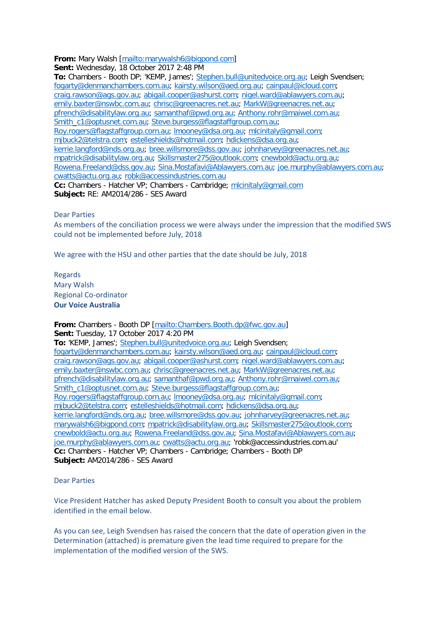## **From:** Mary Walsh [\[mailto:marywalsh6@bigpond.com\]](mailto:marywalsh6@bigpond.com)

**Sent:** Wednesday, 18 October 2017 2:48 PM

**To:** Chambers - Booth DP; 'KEMP, James'; [Stephen.bull@unitedvoice.org.au;](mailto:Stephen.bull@unitedvoice.org.au) Leigh Svendsen; [fogarty@denmanchambers.com.au;](mailto:fogarty@denmanchambers.com.au) [kairsty.wilson@aed.org.au;](mailto:kairsty.wilson@aed.org.au) [cainpaul@icloud.com;](mailto:cainpaul@icloud.com) [craig.rawson@ags.gov.au;](mailto:craig.rawson@ags.gov.au) [abigail.cooper@ashurst.com;](mailto:abigail.cooper@ashurst.com) [nigel.ward@ablawyers.com.au;](mailto:nigel.ward@ablawyers.com.au) [emily.baxter@nswbc.com.au;](mailto:emily.baxter@nswbc.com.au) [chrisc@greenacres.net.au;](mailto:chrisc@greenacres.net.au) [MarkW@greenacres.net.au;](mailto:MarkW@greenacres.net.au) [pfrench@disabilitylaw.org.au;](mailto:pfrench@disabilitylaw.org.au) [samanthaf@pwd.org.au;](mailto:samanthaf@pwd.org.au) [Anthony.rohr@maiwel.com.au;](mailto:Anthony.rohr@maiwel.com.au) [Smith\\_c1@optusnet.com.au;](mailto:Smith_c1@optusnet.com.au) [Steve.burgess@flagstaffgroup.com.au;](mailto:Steve.burgess@flagstaffgroup.com.au) [Roy.rogers@flagstaffgroup.com.au;](mailto:Roy.rogers@flagstaffgroup.com.au) [lmooney@dsa.org.au;](mailto:lmooney@dsa.org.au) [mlcinitaly@gmail.com;](mailto:mlcinitaly@gmail.com) [mjbuck2@telstra.com;](mailto:mjbuck2@telstra.com) [estelleshields@hotmail.com;](mailto:estelleshields@hotmail.com) [hdickens@dsa.org.au;](mailto:hdickens@dsa.org.au) [kerrie.langford@nds.org.au;](mailto:kerrie.langford@nds.org.au) [bree.willsmore@dss.gov.au;](mailto:bree.willsmore@dss.gov.au) [johnharvey@greenacres.net.au;](mailto:johnharvey@greenacres.net.au) [mpatrick@disabilitylaw.org.au;](mailto:mpatrick@disabilitylaw.org.au) [Skillsmaster275@outlook.com;](mailto:Skillsmaster275@outlook.com) [cnewbold@actu.org.au;](mailto:cnewbold@actu.org.au) [Rowena.Freeland@dss.gov.au;](mailto:Rowena.Freeland@dss.gov.au) [Sina.Mostafavi@Ablawyers.com.au;](mailto:Sina.Mostafavi@Ablawyers.com.au) [joe.murphy@ablawyers.com.au;](mailto:joe.murphy@ablawyers.com.au) [cwatts@actu.org.au;](mailto:cwatts@actu.org.au) [robk@accessindustries.com.au](mailto:robk@accessindustries.com.au) **Cc:** Chambers - Hatcher VP; Chambers - Cambridge; [mlcinitaly@gmail.com](mailto:mlcinitaly@gmail.com) **Subject:** RE: AM2014/286 - SES Award

## Dear Parties

As members of the conciliation process we were always under the impression that the modified SWS could not be implemented before July, 2018

We agree with the HSU and other parties that the date should be July, 2018

Regards Mary Walsh Regional Co-ordinator **Our Voice Australia** 

**From:** Chambers - Booth DP [\[mailto:Chambers.Booth.dp@fwc.gov.au\]](mailto:Chambers.Booth.dp@fwc.gov.au) **Sent:** Tuesday, 17 October 2017 4:20 PM **To:** 'KEMP, James'; [Stephen.bull@unitedvoice.org.au;](mailto:Stephen.bull@unitedvoice.org.au) Leigh Svendsen; [fogarty@denmanchambers.com.au;](mailto:fogarty@denmanchambers.com.au) [kairsty.wilson@aed.org.au;](mailto:kairsty.wilson@aed.org.au) [cainpaul@icloud.com;](mailto:cainpaul@icloud.com) [craig.rawson@ags.gov.au;](mailto:craig.rawson@ags.gov.au) [abigail.cooper@ashurst.com;](mailto:abigail.cooper@ashurst.com) [nigel.ward@ablawyers.com.au;](mailto:nigel.ward@ablawyers.com.au) [emily.baxter@nswbc.com.au;](mailto:emily.baxter@nswbc.com.au) [chrisc@greenacres.net.au;](mailto:chrisc@greenacres.net.au) [MarkW@greenacres.net.au;](mailto:MarkW@greenacres.net.au) [pfrench@disabilitylaw.org.au;](mailto:pfrench@disabilitylaw.org.au) [samanthaf@pwd.org.au;](mailto:samanthaf@pwd.org.au) [Anthony.rohr@maiwel.com.au;](mailto:Anthony.rohr@maiwel.com.au) [Smith\\_c1@optusnet.com.au;](mailto:Smith_c1@optusnet.com.au) [Steve.burgess@flagstaffgroup.com.au;](mailto:Steve.burgess@flagstaffgroup.com.au) [Roy.rogers@flagstaffgroup.com.au;](mailto:Roy.rogers@flagstaffgroup.com.au) [lmooney@dsa.org.au;](mailto:lmooney@dsa.org.au) [mlcinitaly@gmail.com;](mailto:mlcinitaly@gmail.com) [mjbuck2@telstra.com;](mailto:mjbuck2@telstra.com) [estelleshields@hotmail.com;](mailto:estelleshields@hotmail.com) [hdickens@dsa.org.au;](mailto:hdickens@dsa.org.au) [kerrie.langford@nds.org.au;](mailto:kerrie.langford@nds.org.au) [bree.willsmore@dss.gov.au;](mailto:bree.willsmore@dss.gov.au) [johnharvey@greenacres.net.au;](mailto:johnharvey@greenacres.net.au) [marywalsh6@bigpond.com;](mailto:marywalsh6@bigpond.com) [mpatrick@disabilitylaw.org.au;](mailto:mpatrick@disabilitylaw.org.au) [Skillsmaster275@outlook.com;](mailto:Skillsmaster275@outlook.com) [cnewbold@actu.org.au;](mailto:cnewbold@actu.org.au) [Rowena.Freeland@dss.gov.au;](mailto:Rowena.Freeland@dss.gov.au) [Sina.Mostafavi@Ablawyers.com.au;](mailto:Sina.Mostafavi@Ablawyers.com.au) [joe.murphy@ablawyers.com.au;](mailto:joe.murphy@ablawyers.com.au) [cwatts@actu.org.au;](mailto:cwatts@actu.org.au) 'robk@accessindustries.com.au' **Cc:** Chambers - Hatcher VP; Chambers - Cambridge; Chambers - Booth DP **Subject:** AM2014/286 - SES Award

Dear Parties

Vice President Hatcher has asked Deputy President Booth to consult you about the problem identified in the email below.

As you can see, Leigh Svendsen has raised the concern that the date of operation given in the Determination (attached) is premature given the lead time required to prepare for the implementation of the modified version of the SWS.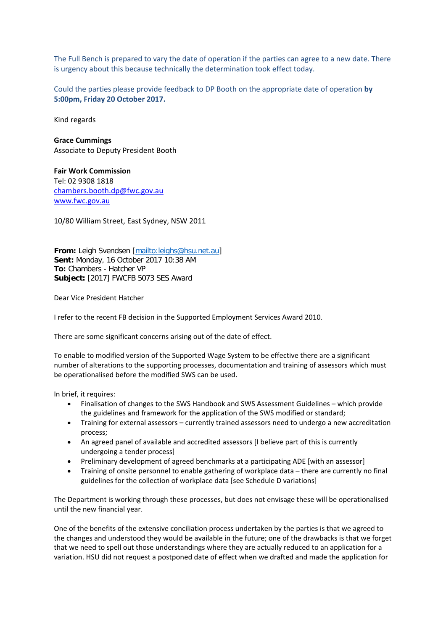The Full Bench is prepared to vary the date of operation if the parties can agree to a new date. There is urgency about this because technically the determination took effect today.

Could the parties please provide feedback to DP Booth on the appropriate date of operation **by 5:00pm, Friday 20 October 2017.**

Kind regards

**Grace Cummings** Associate to Deputy President Booth

**Fair Work Commission** Tel: 02 9308 1818 [chambers.booth.dp@fwc.gov.au](mailto:chambers.booth.dp@fwc.gov.au) [www.fwc.gov.au](http://www.fwc.gov.au/)

10/80 William Street, East Sydney, NSW 2011

**From:** Leigh Svendsen [\[mailto:leighs@hsu.net.au\]](mailto:leighs@hsu.net.au) **Sent:** Monday, 16 October 2017 10:38 AM **To:** Chambers - Hatcher VP **Subject:** [2017] FWCFB 5073 SES Award

Dear Vice President Hatcher

I refer to the recent FB decision in the Supported Employment Services Award 2010.

There are some significant concerns arising out of the date of effect.

To enable to modified version of the Supported Wage System to be effective there are a significant number of alterations to the supporting processes, documentation and training of assessors which must be operationalised before the modified SWS can be used.

In brief, it requires:

- Finalisation of changes to the SWS Handbook and SWS Assessment Guidelines which provide the guidelines and framework for the application of the SWS modified or standard;
- Training for external assessors currently trained assessors need to undergo a new accreditation process;
- An agreed panel of available and accredited assessors [I believe part of this is currently undergoing a tender process]
- Preliminary development of agreed benchmarks at a participating ADE [with an assessor]
- Training of onsite personnel to enable gathering of workplace data there are currently no final guidelines for the collection of workplace data [see Schedule D variations]

The Department is working through these processes, but does not envisage these will be operationalised until the new financial year.

One of the benefits of the extensive conciliation process undertaken by the parties is that we agreed to the changes and understood they would be available in the future; one of the drawbacks is that we forget that we need to spell out those understandings where they are actually reduced to an application for a variation. HSU did not request a postponed date of effect when we drafted and made the application for